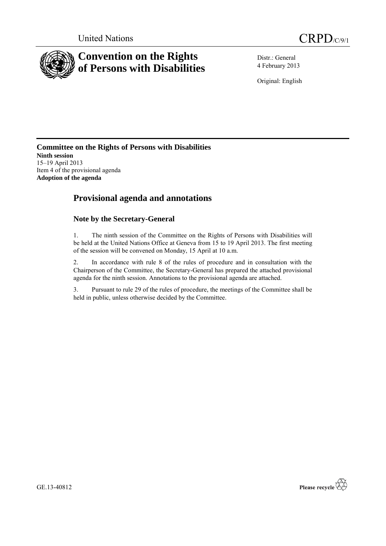

Distr.: General 4 February 2013

Original: English

#### **Committee on the Rights of Persons with Disabilities Ninth session** 15–19 April 2013 Item 4 of the provisional agenda **Adoption of the agenda**

## **Provisional agenda and annotations**

### **Note by the Secretary-General**

1. The ninth session of the Committee on the Rights of Persons with Disabilities will be held at the United Nations Office at Geneva from 15 to 19 April 2013. The first meeting of the session will be convened on Monday, 15 April at 10 a.m.

2. In accordance with rule 8 of the rules of procedure and in consultation with the Chairperson of the Committee, the Secretary-General has prepared the attached provisional agenda for the ninth session. Annotations to the provisional agenda are attached.

3. Pursuant to rule 29 of the rules of procedure, the meetings of the Committee shall be held in public, unless otherwise decided by the Committee.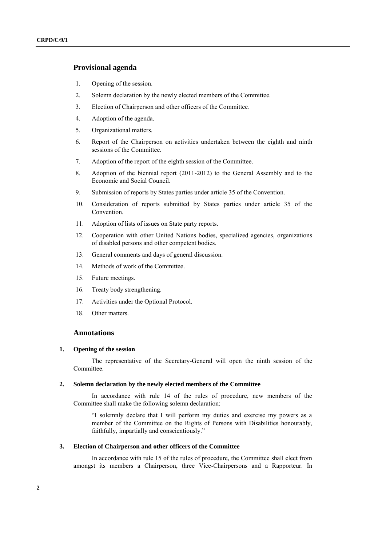#### **Provisional agenda**

- 1. Opening of the session.
- 2. Solemn declaration by the newly elected members of the Committee.
- 3. Election of Chairperson and other officers of the Committee.
- 4. Adoption of the agenda.
- 5. Organizational matters.
- 6. Report of the Chairperson on activities undertaken between the eighth and ninth sessions of the Committee.
- 7. Adoption of the report of the eighth session of the Committee.
- 8. Adoption of the biennial report (2011-2012) to the General Assembly and to the Economic and Social Council.
- 9. Submission of reports by States parties under article 35 of the Convention.
- 10. Consideration of reports submitted by States parties under article 35 of the Convention.
- 11. Adoption of lists of issues on State party reports.
- 12. Cooperation with other United Nations bodies, specialized agencies, organizations of disabled persons and other competent bodies.
- 13. General comments and days of general discussion.
- 14. Methods of work of the Committee.
- 15. Future meetings.
- 16. Treaty body strengthening.
- 17. Activities under the Optional Protocol.
- 18. Other matters.

#### **Annotations**

#### **1. Opening of the session**

The representative of the Secretary-General will open the ninth session of the Committee.

#### **2. Solemn declaration by the newly elected members of the Committee**

In accordance with rule 14 of the rules of procedure, new members of the Committee shall make the following solemn declaration:

"I solemnly declare that I will perform my duties and exercise my powers as a member of the Committee on the Rights of Persons with Disabilities honourably, faithfully, impartially and conscientiously."

#### **3. Election of Chairperson and other officers of the Committee**

In accordance with rule 15 of the rules of procedure, the Committee shall elect from amongst its members a Chairperson, three Vice-Chairpersons and a Rapporteur. In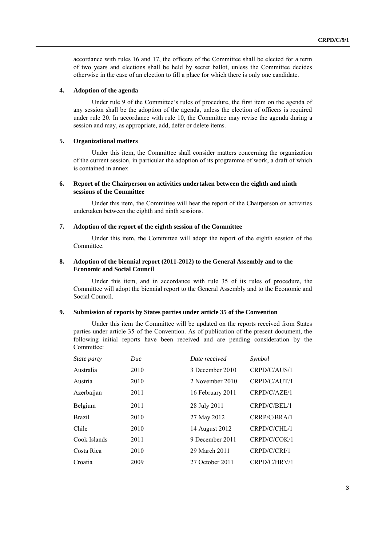accordance with rules 16 and 17, the officers of the Committee shall be elected for a term of two years and elections shall be held by secret ballot, unless the Committee decides otherwise in the case of an election to fill a place for which there is only one candidate.

#### **4. Adoption of the agenda**

Under rule 9 of the Committee's rules of procedure, the first item on the agenda of any session shall be the adoption of the agenda, unless the election of officers is required under rule 20. In accordance with rule 10, the Committee may revise the agenda during a session and may, as appropriate, add, defer or delete items.

#### **5. Organizational matters**

Under this item, the Committee shall consider matters concerning the organization of the current session, in particular the adoption of its programme of work, a draft of which is contained in annex.

#### **6. Report of the Chairperson on activities undertaken between the eighth and ninth sessions of the Committee**

Under this item, the Committee will hear the report of the Chairperson on activities undertaken between the eighth and ninth sessions.

#### **7. Adoption of the report of the eighth session of the Committee**

Under this item, the Committee will adopt the report of the eighth session of the Committee.

#### **8. Adoption of the biennial report (2011-2012) to the General Assembly and to the Economic and Social Council**

Under this item, and in accordance with rule 35 of its rules of procedure, the Committee will adopt the biennial report to the General Assembly and to the Economic and Social Council.

#### **9. Submission of reports by States parties under article 35 of the Convention**

Under this item the Committee will be updated on the reports received from States parties under article 35 of the Convention. As of publication of the present document, the following initial reports have been received and are pending consideration by the Committee:

| <i>State party</i> | Due  | Date received    | Symbol       |
|--------------------|------|------------------|--------------|
| Australia          | 2010 | 3 December 2010  | CRPD/C/AUS/1 |
| Austria            | 2010 | 2 November 2010  | CRPD/C/AUT/1 |
| Azerbaijan         | 2011 | 16 February 2011 | CRPD/C/AZE/1 |
| Belgium            | 2011 | 28 July 2011     | CRPD/C/BEL/1 |
| <b>Brazil</b>      | 2010 | 27 May 2012      | CRRP/C/BRA/1 |
| Chile              | 2010 | 14 August 2012   | CRPD/C/CHL/1 |
| Cook Islands       | 2011 | 9 December 2011  | CRPD/C/COK/1 |
| Costa Rica         | 2010 | 29 March 2011    | CRPD/C/CRI/1 |
| Croatia            | 2009 | 27 October 2011  | CRPD/C/HRV/1 |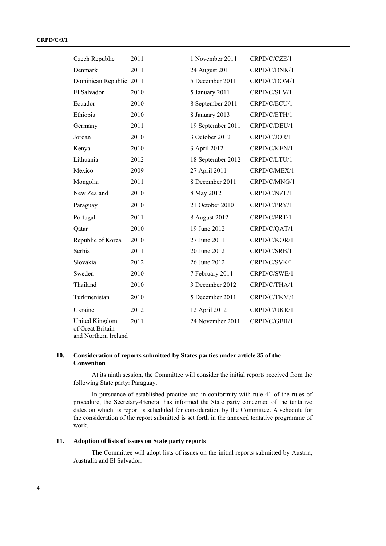| Czech Republic                                             | 2011 | 1 November 2011   | CRPD/C/CZE/1 |
|------------------------------------------------------------|------|-------------------|--------------|
| Denmark                                                    | 2011 | 24 August 2011    | CRPD/C/DNK/1 |
| Dominican Republic 2011                                    |      | 5 December 2011   | CRPD/C/DOM/1 |
| El Salvador                                                | 2010 | 5 January 2011    | CRPD/C/SLV/1 |
| Ecuador                                                    | 2010 | 8 September 2011  | CRPD/C/ECU/1 |
| Ethiopia                                                   | 2010 | 8 January 2013    | CRPD/C/ETH/1 |
| Germany                                                    | 2011 | 19 September 2011 | CRPD/C/DEU/1 |
| Jordan                                                     | 2010 | 3 October 2012    | CRPD/C/JOR/1 |
| Kenya                                                      | 2010 | 3 April 2012      | CRPD/C/KEN/1 |
| Lithuania                                                  | 2012 | 18 September 2012 | CRPD/C/LTU/1 |
| Mexico                                                     | 2009 | 27 April 2011     | CRPD/C/MEX/1 |
| Mongolia                                                   | 2011 | 8 December 2011   | CRPD/C/MNG/1 |
| New Zealand                                                | 2010 | 8 May 2012        | CRPD/C/NZL/1 |
| Paraguay                                                   | 2010 | 21 October 2010   | CRPD/C/PRY/1 |
| Portugal                                                   | 2011 | 8 August 2012     | CRPD/C/PRT/1 |
| Qatar                                                      | 2010 | 19 June 2012      | CRPD/C/QAT/1 |
| Republic of Korea                                          | 2010 | 27 June 2011      | CRPD/C/KOR/1 |
| Serbia                                                     | 2011 | 20 June 2012      | CRPD/C/SRB/1 |
| Slovakia                                                   | 2012 | 26 June 2012      | CRPD/C/SVK/1 |
| Sweden                                                     | 2010 | 7 February 2011   | CRPD/C/SWE/1 |
| Thailand                                                   | 2010 | 3 December 2012   | CRPD/C/THA/1 |
| Turkmenistan                                               | 2010 | 5 December 2011   | CRPD/C/TKM/1 |
| Ukraine                                                    | 2012 | 12 April 2012     | CRPD/C/UKR/1 |
| United Kingdom<br>of Great Britain<br>and Northern Ireland | 2011 | 24 November 2011  | CRPD/C/GBR/1 |

#### **10. Consideration of reports submitted by States parties under article 35 of the Convention**

At its ninth session, the Committee will consider the initial reports received from the following State party: Paraguay.

In pursuance of established practice and in conformity with rule 41 of the rules of procedure, the Secretary-General has informed the State party concerned of the tentative dates on which its report is scheduled for consideration by the Committee. A schedule for the consideration of the report submitted is set forth in the annexed tentative programme of work.

#### **11. Adoption of lists of issues on State party reports**

The Committee will adopt lists of issues on the initial reports submitted by Austria, Australia and El Salvador.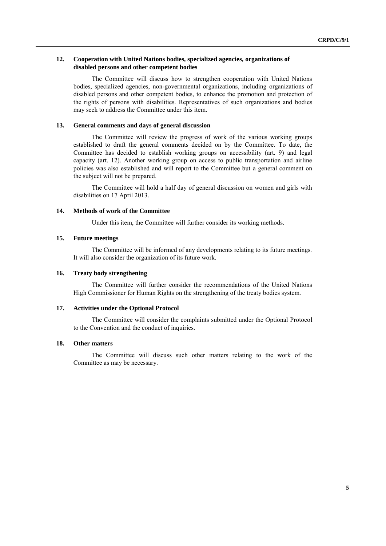#### **12. Cooperation with United Nations bodies, specialized agencies, organizations of disabled persons and other competent bodies**

The Committee will discuss how to strengthen cooperation with United Nations bodies, specialized agencies, non-governmental organizations, including organizations of disabled persons and other competent bodies, to enhance the promotion and protection of the rights of persons with disabilities. Representatives of such organizations and bodies may seek to address the Committee under this item.

#### **13. General comments and days of general discussion**

The Committee will review the progress of work of the various working groups established to draft the general comments decided on by the Committee. To date, the Committee has decided to establish working groups on accessibility (art. 9) and legal capacity (art. 12). Another working group on access to public transportation and airline policies was also established and will report to the Committee but a general comment on the subject will not be prepared.

The Committee will hold a half day of general discussion on women and girls with disabilities on 17 April 2013.

#### **14. Methods of work of the Committee**

Under this item, the Committee will further consider its working methods.

#### **15. Future meetings**

The Committee will be informed of any developments relating to its future meetings. It will also consider the organization of its future work.

#### **16. Treaty body strengthening**

The Committee will further consider the recommendations of the United Nations High Commissioner for Human Rights on the strengthening of the treaty bodies system.

#### **17. Activities under the Optional Protocol**

The Committee will consider the complaints submitted under the Optional Protocol to the Convention and the conduct of inquiries.

#### **18. Other matters**

The Committee will discuss such other matters relating to the work of the Committee as may be necessary.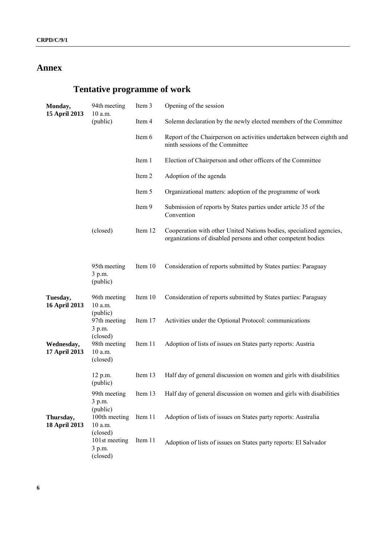## **Annex**

# **Tentative programme of work**

| Monday,<br>15 April 2013    | 94th meeting<br>10 a.m.                         | Item 3  | Opening of the session                                                                                                              |
|-----------------------------|-------------------------------------------------|---------|-------------------------------------------------------------------------------------------------------------------------------------|
|                             | (public)                                        | Item 4  | Solemn declaration by the newly elected members of the Committee                                                                    |
|                             |                                                 | Item 6  | Report of the Chairperson on activities undertaken between eighth and<br>ninth sessions of the Committee                            |
|                             |                                                 | Item 1  | Election of Chairperson and other officers of the Committee                                                                         |
|                             |                                                 | Item 2  | Adoption of the agenda                                                                                                              |
|                             |                                                 | Item 5  | Organizational matters: adoption of the programme of work                                                                           |
|                             |                                                 | Item 9  | Submission of reports by States parties under article 35 of the<br>Convention                                                       |
|                             | (closed)                                        | Item 12 | Cooperation with other United Nations bodies, specialized agencies,<br>organizations of disabled persons and other competent bodies |
|                             | 95th meeting<br>3 p.m.<br>(public)              | Item 10 | Consideration of reports submitted by States parties: Paraguay                                                                      |
| Tuesday,<br>16 April 2013   | 96th meeting<br>10 a.m.                         | Item 10 | Consideration of reports submitted by States parties: Paraguay                                                                      |
|                             | (public)<br>97th meeting<br>3 p.m.              | Item 17 | Activities under the Optional Protocol: communications                                                                              |
| Wednesday,<br>17 April 2013 | (closed)<br>98th meeting<br>10 a.m.<br>(closed) | Item 11 | Adoption of lists of issues on States party reports: Austria                                                                        |
|                             | 12 p.m.<br>(public)                             | Item 13 | Half day of general discussion on women and girls with disabilities                                                                 |
|                             | 99th meeting<br>3 p.m.                          | Item 13 | Half day of general discussion on women and girls with disabilities                                                                 |
| Thursday,<br>18 April 2013  | (public)<br>100th meeting<br>10 a.m.            | Item 11 | Adoption of lists of issues on States party reports: Australia                                                                      |
|                             | (closed)<br>101st meeting<br>3 p.m.<br>(closed) | Item 11 | Adoption of lists of issues on States party reports: El Salvador                                                                    |